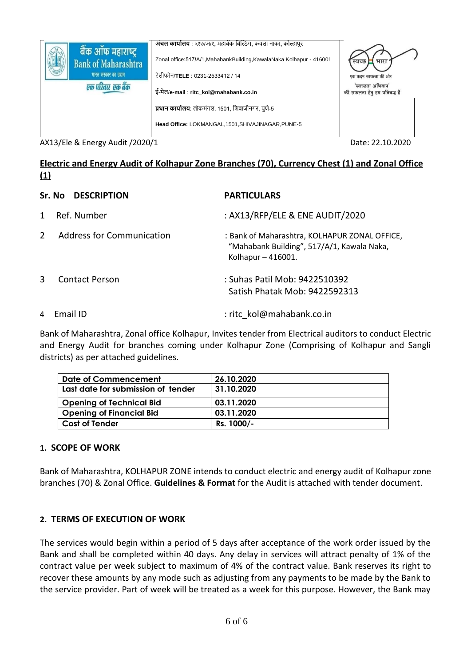| बैंक ऑफ महाराष्ट्र         | अंचल कार्यालय : ५१७/अ/१, महाबँक बिल्डिंग, कवला नाका, कोल्हापूर        |                                |
|----------------------------|-----------------------------------------------------------------------|--------------------------------|
| <b>Bank of Maharashtra</b> | Zonal office: 517/A/1, MahabankBuilding, KawalaNaka Kolhapur - 416001 | स्वच्छ<br>भारत                 |
| भारत सरकार का उद्यम        | टेलीफोन/ <b>TELE</b> : 0231-2533412 / 14                              | एक कदम स्वच्छता की ओर          |
| एक परिवार एक बैंक          |                                                                       | 'स्वच्छता अभियान'              |
|                            | ई-मेल/e-mail: ritc kol@mahabank.co.in                                 | की सफलता हेतु हम प्रतिबद्ध हैं |
|                            | <b>प्रधान कार्यालय</b> : लोकमंगल, 1501, शिवाजीनगर, पुणे-5             |                                |
|                            | Head Office: LOKMANGAL, 1501, SHIVAJINAGAR, PUNE-5                    |                                |
|                            |                                                                       |                                |

AX13/Ele & Energy Audit /2020/1 Date: 22.10.2020

## **Electric and Energy Audit of Kolhapur Zone Branches (70), Currency Chest (1) and Zonal Office (1)**

## **Sr. No DESCRIPTION PARTICULARS**

1 Ref. Number : AX13/RFP/ELE & ENE AUDIT/2020

- 2 Address for Communication : Bank of Maharashtra, KOLHAPUR ZONAL OFFICE,
- 3 Contact Person : Suhas Patil Mob: 9422510392
- 4 Email ID : ritc\_kol@mahabank.co.in

Bank of Maharashtra, Zonal office Kolhapur, Invites tender from Electrical auditors to conduct Electric and Energy Audit for branches coming under Kolhapur Zone (Comprising of Kolhapur and Sangli districts) as per attached guidelines.

Kolhapur – 416001.

"Mahabank Building", 517/A/1, Kawala Naka,

Satish Phatak Mob: 9422592313

| Date of Commencement               | 26.10.2020 |
|------------------------------------|------------|
| Last date for submission of tender | 31.10.2020 |
|                                    |            |
| <b>Opening of Technical Bid</b>    | 03.11.2020 |
|                                    |            |
| <b>Opening of Financial Bid</b>    | 03.11.2020 |
| <b>Cost of Tender</b>              | Rs. 1000/- |
|                                    |            |

# **1. SCOPE OF WORK**

Bank of Maharashtra, KOLHAPUR ZONE intends to conduct electric and energy audit of Kolhapur zone branches (70) & Zonal Office. **Guidelines & Format** for the Audit is attached with tender document.

# **2. TERMS OF EXECUTION OF WORK**

The services would begin within a period of 5 days after acceptance of the work order issued by the Bank and shall be completed within 40 days. Any delay in services will attract penalty of 1% of the contract value per week subject to maximum of 4% of the contract value. Bank reserves its right to recover these amounts by any mode such as adjusting from any payments to be made by the Bank to the service provider. Part of week will be treated as a week for this purpose. However, the Bank may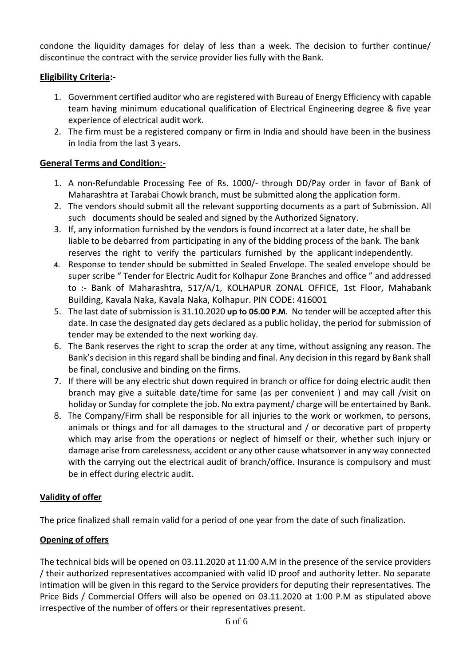condone the liquidity damages for delay of less than a week. The decision to further continue/ discontinue the contract with the service provider lies fully with the Bank.

# **Eligibility Criteria:-**

- 1. Government certified auditor who are registered with Bureau of Energy Efficiency with capable team having minimum educational qualification of Electrical Engineering degree & five year experience of electrical audit work.
- 2. The firm must be a registered company or firm in India and should have been in the business in India from the last 3 years.

## **General Terms and Condition:-**

- 1. A non-Refundable Processing Fee of Rs. 1000/- through DD/Pay order in favor of Bank of Maharashtra at Tarabai Chowk branch, must be submitted along the application form.
- 2. The vendors should submit all the relevant supporting documents as a part of Submission. All such documents should be sealed and signed by the Authorized Signatory.
- 3. If, any information furnished by the vendors is found incorrect at a later date, he shall be liable to be debarred from participating in any of the bidding process of the bank. The bank reserves the right to verify the particulars furnished by the applicant independently.
- **4.** Response to tender should be submitted in Sealed Envelope. The sealed envelope should be super scribe " Tender for Electric Audit for Kolhapur Zone Branches and office " and addressed to :- Bank of Maharashtra, 517/A/1, KOLHAPUR ZONAL OFFICE, 1st Floor, Mahabank Building, Kavala Naka, Kavala Naka, Kolhapur. PIN CODE: 416001
- 5. The last date of submission is 31.10.2020 **up to 05.00 P.M**. No tender will be accepted after this date. In case the designated day gets declared as a public holiday, the period for submission of tender may be extended to the next working day.
- 6. The Bank reserves the right to scrap the order at any time, without assigning any reason. The Bank's decision in this regard shall be binding and final. Any decision in this regard by Bank shall be final, conclusive and binding on the firms.
- 7. If there will be any electric shut down required in branch or office for doing electric audit then branch may give a suitable date/time for same (as per convenient ) and may call /visit on holiday or Sunday for complete the job. No extra payment/ charge will be entertained by Bank.
- 8. The Company/Firm shall be responsible for all injuries to the work or workmen, to persons, animals or things and for all damages to the structural and / or decorative part of property which may arise from the operations or neglect of himself or their, whether such injury or damage arise from carelessness, accident or any other cause whatsoever in any way connected with the carrying out the electrical audit of branch/office. Insurance is compulsory and must be in effect during electric audit.

## **Validity of offer**

The price finalized shall remain valid for a period of one year from the date of such finalization.

# **Opening of offers**

The technical bids will be opened on 03.11.2020 at 11:00 A.M in the presence of the service providers / their authorized representatives accompanied with valid ID proof and authority letter. No separate intimation will be given in this regard to the Service providers for deputing their representatives. The Price Bids / Commercial Offers will also be opened on 03.11.2020 at 1:00 P.M as stipulated above irrespective of the number of offers or their representatives present.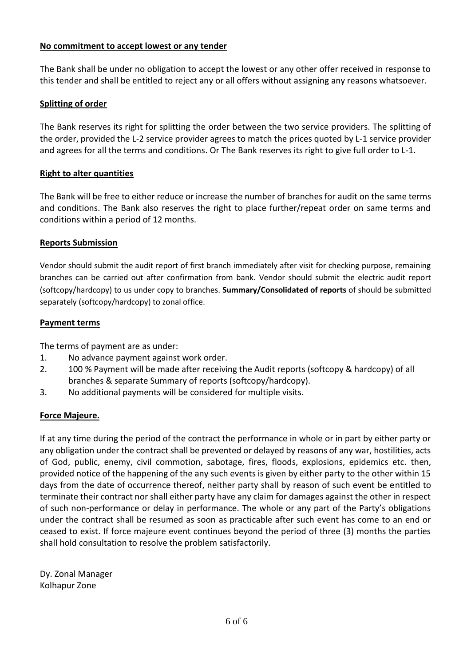#### **No commitment to accept lowest or any tender**

The Bank shall be under no obligation to accept the lowest or any other offer received in response to this tender and shall be entitled to reject any or all offers without assigning any reasons whatsoever.

#### **Splitting of order**

The Bank reserves its right for splitting the order between the two service providers. The splitting of the order, provided the L-2 service provider agrees to match the prices quoted by L-1 service provider and agrees for all the terms and conditions. Or The Bank reserves its right to give full order to L-1.

#### **Right to alter quantities**

The Bank will be free to either reduce or increase the number of branches for audit on the same terms and conditions. The Bank also reserves the right to place further/repeat order on same terms and conditions within a period of 12 months.

#### **Reports Submission**

Vendor should submit the audit report of first branch immediately after visit for checking purpose, remaining branches can be carried out after confirmation from bank. Vendor should submit the electric audit report (softcopy/hardcopy) to us under copy to branches. **Summary/Consolidated of reports** of should be submitted separately (softcopy/hardcopy) to zonal office.

#### **Payment terms**

The terms of payment are as under:

- 1. No advance payment against work order.
- 2. 100 % Payment will be made after receiving the Audit reports (softcopy & hardcopy) of all branches & separate Summary of reports (softcopy/hardcopy).
- 3. No additional payments will be considered for multiple visits.

#### **Force Majeure.**

If at any time during the period of the contract the performance in whole or in part by either party or any obligation under the contract shall be prevented or delayed by reasons of any war, hostilities, acts of God, public, enemy, civil commotion, sabotage, fires, floods, explosions, epidemics etc. then, provided notice of the happening of the any such events is given by either party to the other within 15 days from the date of occurrence thereof, neither party shall by reason of such event be entitled to terminate their contract nor shall either party have any claim for damages against the other in respect of such non-performance or delay in performance. The whole or any part of the Party's obligations under the contract shall be resumed as soon as practicable after such event has come to an end or ceased to exist. If force majeure event continues beyond the period of three (3) months the parties shall hold consultation to resolve the problem satisfactorily.

Dy. Zonal Manager Kolhapur Zone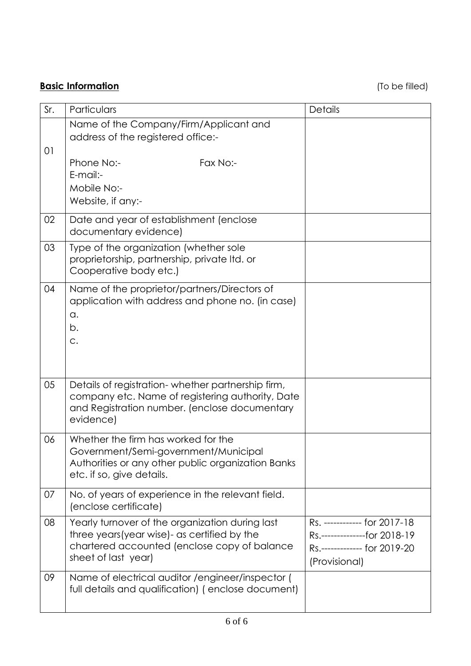**Basic Information Basic Information** 

| Sr. | Particulars                                                                                                                                                             | <b>Details</b>                                                                                                 |
|-----|-------------------------------------------------------------------------------------------------------------------------------------------------------------------------|----------------------------------------------------------------------------------------------------------------|
| 01  | Name of the Company/Firm/Applicant and<br>address of the registered office:-                                                                                            |                                                                                                                |
|     | Phone No:-<br>Fax No:-<br>E-mail:-<br>Mobile No:-<br>Website, if any:-                                                                                                  |                                                                                                                |
| 02  | Date and year of establishment (enclose<br>documentary evidence)                                                                                                        |                                                                                                                |
| 03  | Type of the organization (whether sole<br>proprietorship, partnership, private Itd. or<br>Cooperative body etc.)                                                        |                                                                                                                |
| 04  | Name of the proprietor/partners/Directors of<br>application with address and phone no. (in case)<br>a.<br>b.<br>C.                                                      |                                                                                                                |
| 05  | Details of registration-whether partnership firm,<br>company etc. Name of registering authority, Date<br>and Registration number. (enclose documentary<br>evidence)     |                                                                                                                |
| 06  | Whether the firm has worked for the<br>Government/Semi-government/Municipal<br>Authorities or any other public organization Banks<br>etc. if so, give details.          |                                                                                                                |
| 07  | No. of years of experience in the relevant field.<br>(enclose certificate)                                                                                              |                                                                                                                |
| 08  | Yearly turnover of the organization during last<br>three years (year wise) - as certified by the<br>chartered accounted (enclose copy of balance<br>sheet of last year) | Rs. ------------ for 2017-18<br>Rs.---------------for 2018-19<br>Rs.------------- for 2019-20<br>(Provisional) |
| 09  | Name of electrical auditor / engineer/inspector (<br>full details and qualification) (enclose document)                                                                 |                                                                                                                |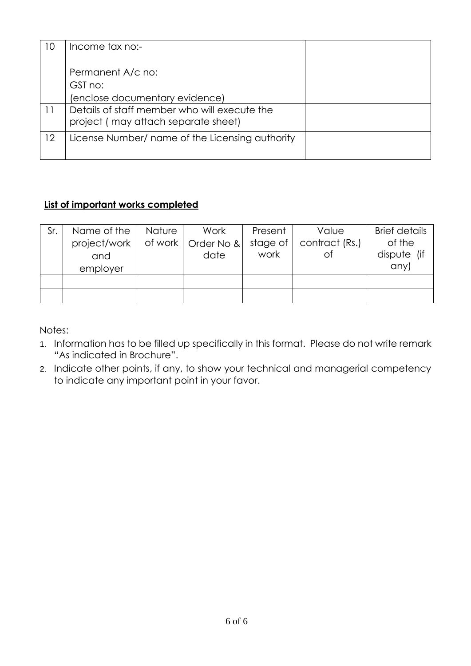| 10 | Income tax no:-                                                                     |  |
|----|-------------------------------------------------------------------------------------|--|
|    | Permanent A/c no:                                                                   |  |
|    | GST no:                                                                             |  |
|    | (enclose documentary evidence)                                                      |  |
| 11 | Details of staff member who will execute the<br>project (may attach separate sheet) |  |
| 12 | License Number/ name of the Licensing authority                                     |  |

# **List of important works completed**

| Sr. | Name of the<br>project/work  <br>and<br>employer | <b>Nature</b> | Work<br>of work   Order No &<br>date | Present<br>stage of<br>work | Value<br>contract (Rs.)<br>Оf | <b>Brief details</b><br>of the<br>dispute (if<br>any) |
|-----|--------------------------------------------------|---------------|--------------------------------------|-----------------------------|-------------------------------|-------------------------------------------------------|
|     |                                                  |               |                                      |                             |                               |                                                       |
|     |                                                  |               |                                      |                             |                               |                                                       |

Notes:

- 1. Information has to be filled up specifically in this format. Please do not write remark "As indicated in Brochure".
- 2. Indicate other points, if any, to show your technical and managerial competency to indicate any important point in your favor.